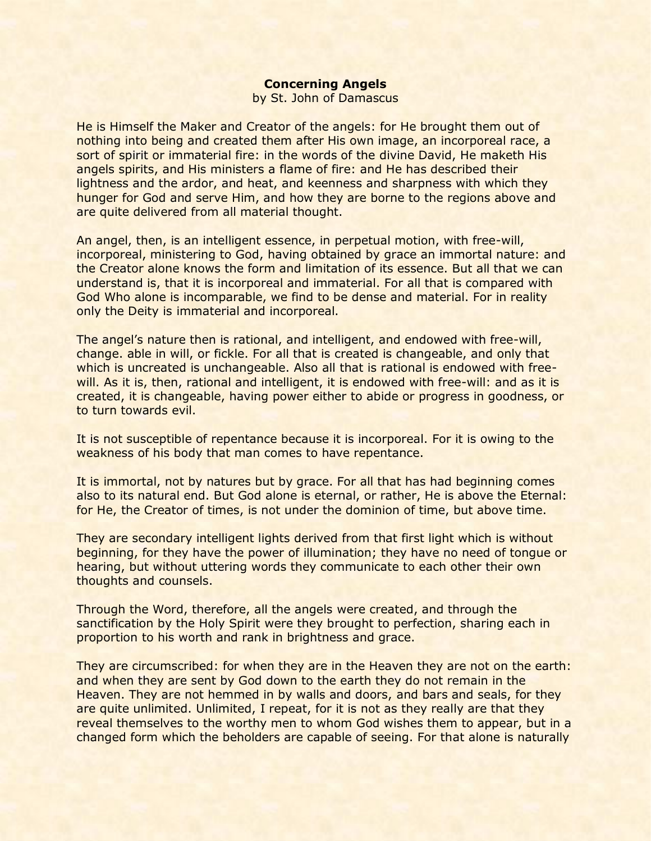## **Concerning Angels** by St. John of Damascus

He is Himself the Maker and Creator of the angels: for He brought them out of nothing into being and created them after His own image, an incorporeal race, a sort of spirit or immaterial fire: in the words of the divine David, He maketh His angels spirits, and His ministers a flame of fire: and He has described their lightness and the ardor, and heat, and keenness and sharpness with which they hunger for God and serve Him, and how they are borne to the regions above and are quite delivered from all material thought.

An angel, then, is an intelligent essence, in perpetual motion, with free-will, incorporeal, ministering to God, having obtained by grace an immortal nature: and the Creator alone knows the form and limitation of its essence. But all that we can understand is, that it is incorporeal and immaterial. For all that is compared with God Who alone is incomparable, we find to be dense and material. For in reality only the Deity is immaterial and incorporeal.

The angel's nature then is rational, and intelligent, and endowed with free-will, change. able in will, or fickle. For all that is created is changeable, and only that which is uncreated is unchangeable. Also all that is rational is endowed with freewill. As it is, then, rational and intelligent, it is endowed with free-will: and as it is created, it is changeable, having power either to abide or progress in goodness, or to turn towards evil.

It is not susceptible of repentance because it is incorporeal. For it is owing to the weakness of his body that man comes to have repentance.

It is immortal, not by natures but by grace. For all that has had beginning comes also to its natural end. But God alone is eternal, or rather, He is above the Eternal: for He, the Creator of times, is not under the dominion of time, but above time.

They are secondary intelligent lights derived from that first light which is without beginning, for they have the power of illumination; they have no need of tongue or hearing, but without uttering words they communicate to each other their own thoughts and counsels.

Through the Word, therefore, all the angels were created, and through the sanctification by the Holy Spirit were they brought to perfection, sharing each in proportion to his worth and rank in brightness and grace.

They are circumscribed: for when they are in the Heaven they are not on the earth: and when they are sent by God down to the earth they do not remain in the Heaven. They are not hemmed in by walls and doors, and bars and seals, for they are quite unlimited. Unlimited, I repeat, for it is not as they really are that they reveal themselves to the worthy men to whom God wishes them to appear, but in a changed form which the beholders are capable of seeing. For that alone is naturally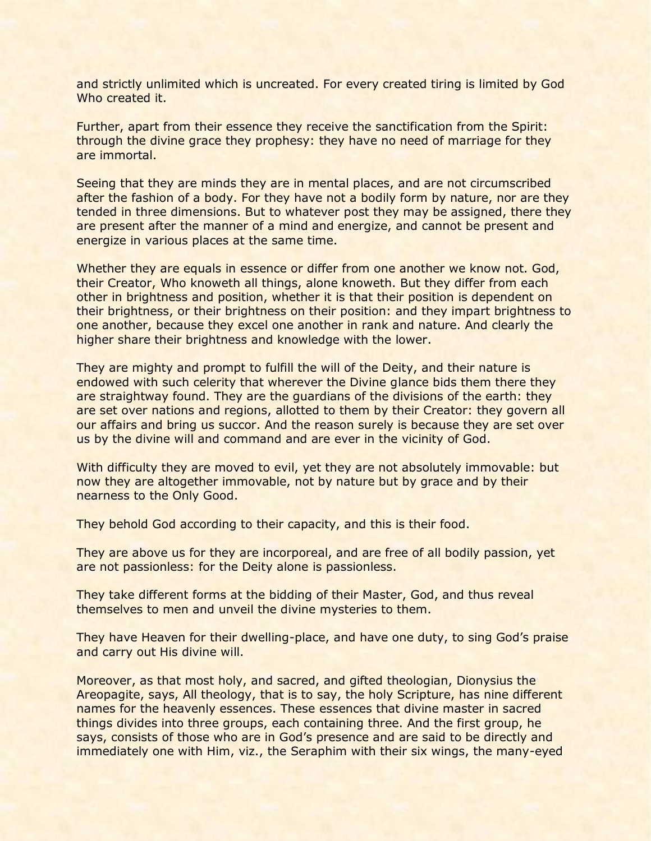and strictly unlimited which is uncreated. For every created tiring is limited by God Who created it.

Further, apart from their essence they receive the sanctification from the Spirit: through the divine grace they prophesy: they have no need of marriage for they are immortal.

Seeing that they are minds they are in mental places, and are not circumscribed after the fashion of a body. For they have not a bodily form by nature, nor are they tended in three dimensions. But to whatever post they may be assigned, there they are present after the manner of a mind and energize, and cannot be present and energize in various places at the same time.

Whether they are equals in essence or differ from one another we know not. God, their Creator, Who knoweth all things, alone knoweth. But they differ from each other in brightness and position, whether it is that their position is dependent on their brightness, or their brightness on their position: and they impart brightness to one another, because they excel one another in rank and nature. And clearly the higher share their brightness and knowledge with the lower.

They are mighty and prompt to fulfill the will of the Deity, and their nature is endowed with such celerity that wherever the Divine glance bids them there they are straightway found. They are the guardians of the divisions of the earth: they are set over nations and regions, allotted to them by their Creator: they govern all our affairs and bring us succor. And the reason surely is because they are set over us by the divine will and command and are ever in the vicinity of God.

With difficulty they are moved to evil, yet they are not absolutely immovable: but now they are altogether immovable, not by nature but by grace and by their nearness to the Only Good.

They behold God according to their capacity, and this is their food.

They are above us for they are incorporeal, and are free of all bodily passion, yet are not passionless: for the Deity alone is passionless.

They take different forms at the bidding of their Master, God, and thus reveal themselves to men and unveil the divine mysteries to them.

They have Heaven for their dwelling-place, and have one duty, to sing God's praise and carry out His divine will.

Moreover, as that most holy, and sacred, and gifted theologian, Dionysius the Areopagite, says, All theology, that is to say, the holy Scripture, has nine different names for the heavenly essences. These essences that divine master in sacred things divides into three groups, each containing three. And the first group, he says, consists of those who are in God's presence and are said to be directly and immediately one with Him, viz., the Seraphim with their six wings, the many-eyed